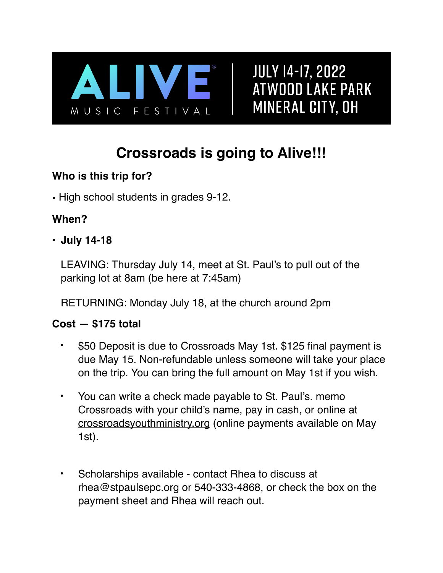

**JULY 14-17, 2022 ATWOOD LAKE PARK** MINERAL CITY, OH

### **Crossroads is going to Alive!!!**

#### **Who is this trip for?**

• High school students in grades 9-12.

#### **When?**

#### • **July 14-18**

LEAVING: Thursday July 14, meet at St. Paul's to pull out of the parking lot at 8am (be here at 7:45am)

RETURNING: Monday July 18, at the church around 2pm

#### **Cost — \$175 total**

- \$50 Deposit is due to Crossroads May 1st. \$125 final payment is due May 15. Non-refundable unless someone will take your place on the trip. You can bring the full amount on May 1st if you wish.
- You can write a check made payable to St. Paul's. memo Crossroads with your child's name, pay in cash, or online at [crossroadsyouthministry.org](http://crossroadsyouthministry.org) (online payments available on May 1st).
- Scholarships available contact Rhea to discuss at rhea@stpaulsepc.org or 540-333-4868, or check the box on the payment sheet and Rhea will reach out.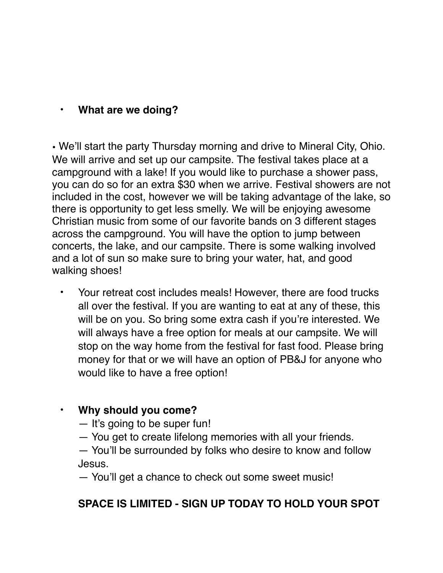#### • **What are we doing?**

• We'll start the party Thursday morning and drive to Mineral City, Ohio. We will arrive and set up our campsite. The festival takes place at a campground with a lake! If you would like to purchase a shower pass, you can do so for an extra \$30 when we arrive. Festival showers are not included in the cost, however we will be taking advantage of the lake, so there is opportunity to get less smelly. We will be enjoying awesome Christian music from some of our favorite bands on 3 different stages across the campground. You will have the option to jump between concerts, the lake, and our campsite. There is some walking involved and a lot of sun so make sure to bring your water, hat, and good walking shoes!

• Your retreat cost includes meals! However, there are food trucks all over the festival. If you are wanting to eat at any of these, this will be on you. So bring some extra cash if you're interested. We will always have a free option for meals at our campsite. We will stop on the way home from the festival for fast food. Please bring money for that or we will have an option of PB&J for anyone who would like to have a free option!

#### • **Why should you come?**

- It's going to be super fun!
- You get to create lifelong memories with all your friends.
- You'll be surrounded by folks who desire to know and follow Jesus.

— You'll get a chance to check out some sweet music!

#### **SPACE IS LIMITED - SIGN UP TODAY TO HOLD YOUR SPOT**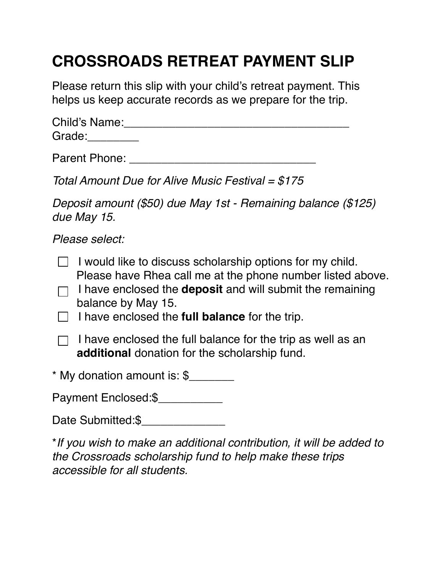## **CROSSROADS RETREAT PAYMENT SLIP**

Please return this slip with your child's retreat payment. This helps us keep accurate records as we prepare for the trip.

| <b>Child's Name:</b> |  |  |
|----------------------|--|--|
| Grade:               |  |  |

Parent Phone: **Example 20** Figure 20 Figure 20 Figure 20 Figure 20 Figure 20 Figure 20 Figure 20 Figure 20 Figure

*Total Amount Due for Alive Music Festival = \$175* 

*Deposit amount (\$50) due May 1st - Remaining balance (\$125) due May 15.* 

*Please select:*

| I would like to discuss scholarship options for my child.<br>Please have Rhea call me at the phone number listed above.<br>I have enclosed the <b>deposit</b> and will submit the remaining<br>balance by May 15.<br>I have enclosed the <b>full balance</b> for the trip. |
|----------------------------------------------------------------------------------------------------------------------------------------------------------------------------------------------------------------------------------------------------------------------------|
| I have enclosed the full balance for the trip as well as an<br>additional donation for the scholarship fund.                                                                                                                                                               |
| * My donation amount is: \$                                                                                                                                                                                                                                                |
| Payment Enclosed:\$                                                                                                                                                                                                                                                        |
| Date Submitted:\$                                                                                                                                                                                                                                                          |
|                                                                                                                                                                                                                                                                            |

\**If you wish to make an additional contribution, it will be added to the Crossroads scholarship fund to help make these trips accessible for all students.*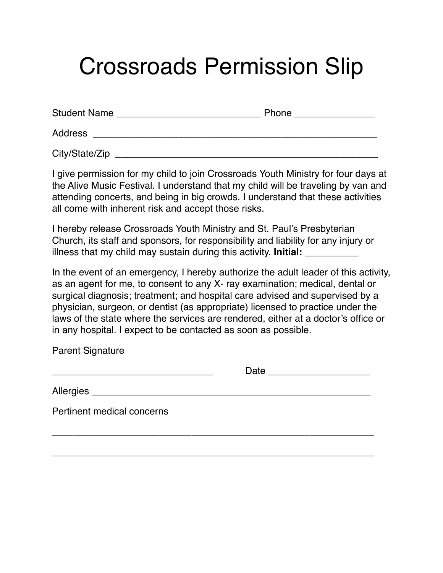# Crossroads Permission Slip

| <b>Student Name</b> | Phone |
|---------------------|-------|
| <b>Address</b>      |       |
| City/State/Zip      |       |

I give permission for my child to join Crossroads Youth Ministry for four days at the Alive Music Festival. I understand that my child will be traveling by van and attending concerts, and being in big crowds. I understand that these activities all come with inherent risk and accept those risks.

I hereby release Crossroads Youth Ministry and St. Paul's Presbyterian Church, its staff and sponsors, for responsibility and liability for any injury or illness that my child may sustain during this activity. **Initial:** 

In the event of an emergency, I hereby authorize the adult leader of this activity, as an agent for me, to consent to any X- ray examination; medical, dental or surgical diagnosis; treatment; and hospital care advised and supervised by a physician, surgeon, or dentist (as appropriate) licensed to practice under the laws of the state where the services are rendered, either at a doctor's office or in any hospital. I expect to be contacted as soon as possible.

Parent Signature

| Allergies ___________________________________ |  |
|-----------------------------------------------|--|
| Pertinent medical concerns                    |  |
|                                               |  |